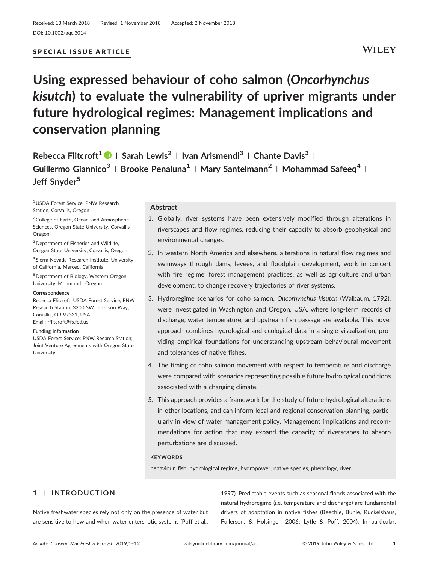# SPECIAL ISSUE ARTICLE

# **WILEY**

# **Using expressed behaviour of coho salmon (***Oncorhynchus kisutch***) to evaluate the vulnerability of upriver migrants under future hydrological regimes: Management implications and conservation planning**

**Rebecca Flitcroft<sup>1</sup> <sup>|</sup> Sarah Lewis2 <sup>|</sup> Ivan Arismendi<sup>3</sup> <sup>|</sup> Chante Davis3 <sup>|</sup> Guillermo Giannico3 <sup>|</sup> Brooke Penaluna1 <sup>|</sup> Mary Santelmann<sup>2</sup> <sup>|</sup> Mohammad Safeeq4 <sup>|</sup> Jeff Snyder<sup>5</sup>**

1USDA Forest Service, PNW Research Station, Corvallis, Oregon

2College of Earth, Ocean, and Atmospheric Sciences, Oregon State University, Corvallis, Oregon

3Department of Fisheries and Wildlife, Oregon State University, Corvallis, Oregon

<sup>4</sup> Sierra Nevada Research Institute, University of California, Merced, California

5Department of Biology, Western Oregon University, Monmouth, Oregon

#### **Correspondence**

Rebecca Flitcroft, USDA Forest Service, PNW Research Station, 3200 SW Jefferson Way, Corvallis, OR 97331, USA. Email: [rflitcroft@fs.fed.us](mailto:rflitcroft@fs.fed.us)

#### **Funding information**

USDA Forest Service; PNW Reearch Station; Joint Venture Agreements with Oregon State University

#### **Abstract**

- 1. Globally, river systems have been extensively modified through alterations in riverscapes and flow regimes, reducing their capacity to absorb geophysical and environmental changes.
- 2. In western North America and elsewhere, alterations in natural flow regimes and swimways through dams, levees, and floodplain development, work in concert with fire regime, forest management practices, as well as agriculture and urban development, to change recovery trajectories of river systems.
- 3. Hydroregime scenarios for coho salmon, *Oncorhynchus kisutch* (Walbaum, 1792), were investigated in Washington and Oregon, USA, where long-term records of discharge, water temperature, and upstream fish passage are available. This novel approach combines hydrological and ecological data in a single visualization, providing empirical foundations for understanding upstream behavioural movement and tolerances of native fishes.
- 4. The timing of coho salmon movement with respect to temperature and discharge were compared with scenarios representing possible future hydrological conditions associated with a changing climate.
- 5. This approach provides a framework for the study of future hydrological alterations in other locations, and can inform local and regional conservation planning, particularly in view of water management policy. Management implications and recommendations for action that may expand the capacity of riverscapes to absorb perturbations are discussed.

### **KEYWORDS**

behaviour, fish, hydrological regime, hydropower, native species, phenology, river

# **1** | **INTRODUCTION**

Native freshwater species rely not only on the presence of water but are sensitive to how and when water enters lotic systems (Poff et al.,

1997). Predictable events such as seasonal floods associated with the natural hydroregime (i.e. temperature and discharge) are fundamental drivers of adaptation in native fishes (Beechie, Buhle, Ruckelshaus, Fullerson, & Holsinger, 2006; Lytle & Poff, 2004). In particular,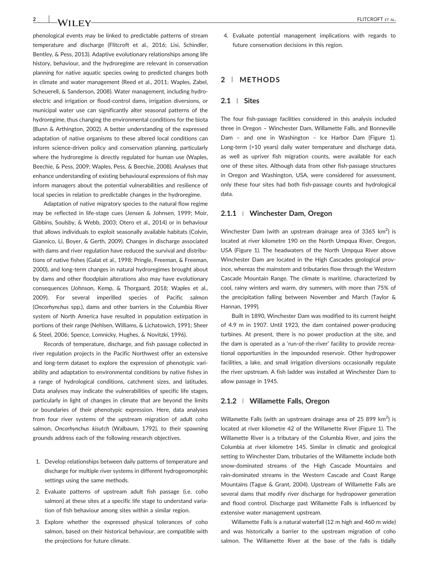phenological events may be linked to predictable patterns of stream temperature and discharge (Flitcroft et al., 2016; Lisi, Schindler, Bentley, & Pess, 2013). Adaptive evolutionary relationships among life history, behaviour, and the hydroregime are relevant in conservation planning for native aquatic species owing to predicted changes both in climate and water management (Reed et al., 2011; Waples, Zabel, Scheuerell, & Sanderson, 2008). Water management, including hydroelectric and irrigation or flood‐control dams, irrigation diversions, or municipal water use can significantly alter seasonal patterns of the hydroregime, thus changing the environmental conditions for the biota (Bunn & Arthington, 2002). A better understanding of the expressed adaptation of native organisms to these altered local conditions can inform science‐driven policy and conservation planning, particularly where the hydroregime is directly regulated for human use (Waples, Beechie, & Pess, 2009; Waples, Pess, & Beechie, 2008). Analyses that enhance understanding of existing behavioural expressions of fish may inform managers about the potential vulnerabilities and resilience of local species in relation to predictable changes in the hydroregime.

Adaptation of native migratory species to the natural flow regime may be reflected in life‐stage cues (Jensen & Johnsen, 1999; Moir, Gibbins, Soulsby, & Webb, 2003; Otero et al., 2014) or in behaviour that allows individuals to exploit seasonally available habitats (Colvin, Giannico, Li, Boyer, & Gerth, 2009). Changes in discharge associated with dams and river regulation have reduced the survival and distributions of native fishes (Galat et al., 1998; Pringle, Freeman, & Freeman, 2000), and long‐term changes in natural hydroregimes brought about by dams and other floodplain alterations also may have evolutionary consequences (Johnson, Kemp, & Thorgaard, 2018; Waples et al., 2009). For several imperilled species of Pacific salmon (*Oncorhynchus* spp.), dams and other barriers in the Columbia River system of North America have resulted in population extirpation in portions of their range (Nehlsen, Williams, & Lichatowich, 1991; Sheer & Steel, 2006; Spence, Lomnicky, Hughes, & Novitzki, 1996).

Records of temperature, discharge, and fish passage collected in river regulation projects in the Pacific Northwest offer an extensive and long-term dataset to explore the expression of phenotypic variability and adaptation to environmental conditions by native fishes in a range of hydrological conditions, catchment sizes, and latitudes. Data analyses may indicate the vulnerabilities of specific life stages, particularly in light of changes in climate that are beyond the limits or boundaries of their phenotypic expression. Here, data analyses from four river systems of the upstream migration of adult coho salmon, *Oncorhynchus kisutch* (Walbaum, 1792), to their spawning grounds address each of the following research objectives.

- 1. Develop relationships between daily patterns of temperature and discharge for multiple river systems in different hydrogeomorphic settings using the same methods.
- 2. Evaluate patterns of upstream adult fish passage (i.e. coho salmon) at these sites at a specific life stage to understand variation of fish behaviour among sites within a similar region.
- 3. Explore whether the expressed physical tolerances of coho salmon, based on their historical behaviour, are compatible with the projections for future climate.

4. Evaluate potential management implications with regards to future conservation decisions in this region.

#### **2** | **METHODS**

#### **2.1** | **Sites**

The four fish-passage facilities considered in this analysis included three in Oregon – Winchester Dam, Willamette Falls, and Bonneville Dam – and one in Washington – Ice Harbor Dam (Figure 1). Long-term (>10 years) daily water temperature and discharge data, as well as upriver fish migration counts, were available for each one of these sites. Although data from other fish‐passage structures in Oregon and Washington, USA, were considered for assessment, only these four sites had both fish‐passage counts and hydrological data.

#### **2.1.1** <sup>|</sup> **Winchester Dam, Oregon**

Winchester Dam (with an upstream drainage area of 3365  $km^2$ ) is located at river kilometre 190 on the North Umpqua River, Oregon, USA (Figure 1). The headwaters of the North Umpqua River above Winchester Dam are located in the High Cascades geological province, whereas the mainstem and tributaries flow through the Western Cascade Mountain Range. The climate is maritime, characterized by cool, rainy winters and warm, dry summers, with more than 75% of the precipitation falling between November and March (Taylor & Hannan, 1999).

Built in 1890, Winchester Dam was modified to its current height of 4.9 m in 1907. Until 1923, the dam contained power‐producing turbines. At present, there is no power production at the site, and the dam is operated as a 'run‐of‐the‐river' facility to provide recreational opportunities in the impounded reservoir. Other hydropower facilities, a lake, and small irrigation diversions occasionally regulate the river upstream. A fish ladder was installed at Winchester Dam to allow passage in 1945.

#### **2.1.2** <sup>|</sup> **Willamette Falls, Oregon**

Willamette Falls (with an upstream drainage area of 25 899 km<sup>2</sup>) is located at river kilometre 42 of the Willamette River (Figure 1). The Willamette River is a tributary of the Columbia River, and joins the Columbia at river kilometre 145. Similar in climatic and geological setting to Winchester Dam, tributaries of the Willamette include both snow‐dominated streams of the High Cascade Mountains and rain‐dominated streams in the Western Cascade and Coast Range Mountains (Tague & Grant, 2004). Upstream of Willamette Falls are several dams that modify river discharge for hydropower generation and flood control. Discharge past Willamette Falls is influenced by extensive water management upstream.

Willamette Falls is a natural waterfall (12 m high and 460 m wide) and was historically a barrier to the upstream migration of coho salmon. The Willamette River at the base of the falls is tidally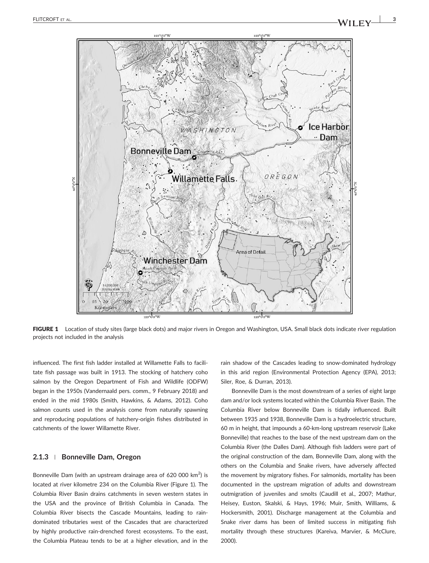

FIGURE 1 Location of study sites (large black dots) and major rivers in Oregon and Washington, USA. Small black dots indicate river regulation projects not included in the analysis

influenced. The first fish ladder installed at Willamette Falls to facilitate fish passage was built in 1913. The stocking of hatchery coho salmon by the Oregon Department of Fish and Wildlife (ODFW) began in the 1950s (Vandernaald pers. comm., 9 February 2018) and ended in the mid 1980s (Smith, Hawkins, & Adams, 2012). Coho salmon counts used in the analysis come from naturally spawning and reproducing populations of hatchery-origin fishes distributed in catchments of the lower Willamette River.

#### **2.1.3** <sup>|</sup> **Bonneville Dam, Oregon**

Bonneville Dam (with an upstream drainage area of 620 000 km<sup>2</sup>) is located at river kilometre 234 on the Columbia River (Figure 1). The Columbia River Basin drains catchments in seven western states in the USA and the province of British Columbia in Canada. The Columbia River bisects the Cascade Mountains, leading to rain‐ dominated tributaries west of the Cascades that are characterized by highly productive rain‐drenched forest ecosystems. To the east, the Columbia Plateau tends to be at a higher elevation, and in the

rain shadow of the Cascades leading to snow‐dominated hydrology in this arid region (Environmental Protection Agency (EPA), 2013; Siler, Roe, & Durran, 2013).

Bonneville Dam is the most downstream of a series of eight large dam and/or lock systems located within the Columbia River Basin. The Columbia River below Bonneville Dam is tidally influenced. Built between 1935 and 1938, Bonneville Dam is a hydroelectric structure, 60 m in height, that impounds a 60‐km‐long upstream reservoir (Lake Bonneville) that reaches to the base of the next upstream dam on the Columbia River (the Dalles Dam). Although fish ladders were part of the original construction of the dam, Bonneville Dam, along with the others on the Columbia and Snake rivers, have adversely affected the movement by migratory fishes. For salmonids, mortality has been documented in the upstream migration of adults and downstream outmigration of juveniles and smolts (Caudill et al., 2007; Mathur, Heisey, Euston, Skalski, & Hays, 1996; Muir, Smith, Williams, & Hockersmith, 2001). Discharge management at the Columbia and Snake river dams has been of limited success in mitigating fish mortality through these structures (Kareiva, Marvier, & McClure, 2000).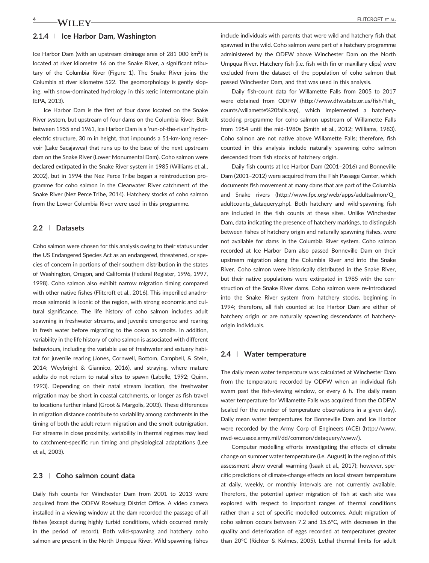#### **2.1.4** <sup>|</sup> **Ice Harbor Dam, Washington**

Ice Harbor Dam (with an upstream drainage area of 281 000  $\text{km}^2$ ) is located at river kilometre 16 on the Snake River, a significant tributary of the Columbia River (Figure 1). The Snake River joins the Columbia at river kilometre 522. The geomorphology is gently sloping, with snow‐dominated hydrology in this xeric intermontane plain (EPA, 2013).

Ice Harbor Dam is the first of four dams located on the Snake River system, but upstream of four dams on the Columbia River. Built between 1955 and 1961, Ice Harbor Dam is a 'run‐of‐the‐river' hydroelectric structure, 30 m in height, that impounds a 51‐km‐long reservoir (Lake Sacajawea) that runs up to the base of the next upstream dam on the Snake River (Lower Monumental Dam). Coho salmon were declared extirpated in the Snake River system in 1985 (Williams et al., 2002), but in 1994 the Nez Perce Tribe began a reintroduction programme for coho salmon in the Clearwater River catchment of the Snake River (Nez Perce Tribe, 2014). Hatchery stocks of coho salmon from the Lower Columbia River were used in this programme.

### **2.2** | **Datasets**

Coho salmon were chosen for this analysis owing to their status under the US Endangered Species Act as an endangered, threatened, or species of concern in portions of their southern distribution in the states of Washington, Oregon, and California (Federal Register, 1996, 1997, 1998). Coho salmon also exhibit narrow migration timing compared with other native fishes (Flitcroft et al., 2016). This imperilled anadromous salmonid is iconic of the region, with strong economic and cultural significance. The life history of coho salmon includes adult spawning in freshwater streams, and juvenile emergence and rearing in fresh water before migrating to the ocean as smolts. In addition, variability in the life history of coho salmon is associated with different behaviours, including the variable use of freshwater and estuary habitat for juvenile rearing (Jones, Cornwell, Bottom, Campbell, & Stein, 2014; Weybright & Giannico, 2016), and straying, where mature adults do not return to natal sites to spawn (Labelle, 1992; Quinn, 1993). Depending on their natal stream location, the freshwater migration may be short in coastal catchments, or longer as fish travel to locations further inland (Groot & Margolis, 2003). These differences in migration distance contribute to variability among catchments in the timing of both the adult return migration and the smolt outmigration. For streams in close proximity, variability in thermal regimes may lead to catchment‐specific run timing and physiological adaptations (Lee et al., 2003).

#### **2.3** | **Coho salmon count data**

Daily fish counts for Winchester Dam from 2001 to 2013 were acquired from the ODFW Roseburg District Office. A video camera installed in a viewing window at the dam recorded the passage of all fishes (except during highly turbid conditions, which occurred rarely in the period of record). Both wild‐spawning and hatchery coho salmon are present in the North Umpqua River. Wild-spawning fishes include individuals with parents that were wild and hatchery fish that spawned in the wild. Coho salmon were part of a hatchery programme administered by the ODFW above Winchester Dam on the North Umpqua River. Hatchery fish (i.e. fish with fin or maxillary clips) were excluded from the dataset of the population of coho salmon that passed Winchester Dam, and that was used in this analysis.

Daily fish‐count data for Willamette Falls from 2005 to 2017 were obtained from ODFW ([http://www.dfw.state.or.us/fish/fish\\_](https://exmail.oregonstate.edu/owa/redir.aspx?C=KIJZ8rwxzJCchfLRbAlJL5lTIOjO-FDstPwQgjEgpxfa_v_k8WzVCA..&URL=http%3a%2f%2fwww.dfw.state.or.us%2ffish%2ffish_counts%2fwillamette%2520falls.asp) [counts/willamette%20falls.asp](https://exmail.oregonstate.edu/owa/redir.aspx?C=KIJZ8rwxzJCchfLRbAlJL5lTIOjO-FDstPwQgjEgpxfa_v_k8WzVCA..&URL=http%3a%2f%2fwww.dfw.state.or.us%2ffish%2ffish_counts%2fwillamette%2520falls.asp)), which implemented a hatchery‐ stocking programme for coho salmon upstream of Willamette Falls from 1954 until the mid‐1980s (Smith et al., 2012; Williams, 1983). Coho salmon are not native above Willamette Falls; therefore, fish counted in this analysis include naturally spawning coho salmon descended from fish stocks of hatchery origin.

Daily fish counts at Ice Harbor Dam (2001–2016) and Bonneville Dam (2001–2012) were acquired from the Fish Passage Center, which documents fish movement at many dams that are part of the Columbia and Snake rivers [\(http://www.fpc.org/web/apps/adultsalmon/Q\\_](http://www.fpc.org/web/apps/adultsalmon/Q_adultcounts_dataquery.php) adultcounts dataquery.php). Both hatchery and wild-spawning fish are included in the fish counts at these sites. Unlike Winchester Dam, data indicating the presence of hatchery markings, to distinguish between fishes of hatchery origin and naturally spawning fishes, were not available for dams in the Columbia River system. Coho salmon recorded at Ice Harbor Dam also passed Bonneville Dam on their upstream migration along the Columbia River and into the Snake River. Coho salmon were historically distributed in the Snake River, but their native populations were extirpated in 1985 with the construction of the Snake River dams. Coho salmon were re‐introduced into the Snake River system from hatchery stocks, beginning in 1994; therefore, all fish counted at Ice Harbor Dam are either of hatchery origin or are naturally spawning descendants of hatcheryorigin individuals.

#### **2.4** | **Water temperature**

The daily mean water temperature was calculated at Winchester Dam from the temperature recorded by ODFW when an individual fish swam past the fish-viewing window, or every 6 h. The daily mean water temperature for Willamette Falls was acquired from the ODFW (scaled for the number of temperature observations in a given day). Daily mean water temperatures for Bonneville Dam and Ice Harbor were recorded by the Army Corp of Engineers (ACE) ([http://www.](http://www.nwd-wc.usace.army.mil/dd/common/dataquery/www/) nwd‐[wc.usace.army.mil/dd/common/dataquery/www/](http://www.nwd-wc.usace.army.mil/dd/common/dataquery/www/)).

Computer modelling efforts investigating the effects of climate change on summer water temperature (i.e. August) in the region of this assessment show overall warming (Isaak et al., 2017); however, specific predictions of climate‐change effects on local stream temperature at daily, weekly, or monthly intervals are not currently available. Therefore, the potential upriver migration of fish at each site was explored with respect to important ranges of thermal conditions rather than a set of specific modelled outcomes. Adult migration of coho salmon occurs between 7.2 and 15.6°C, with decreases in the quality and deterioration of eggs recorded at temperatures greater than 20°C (Richter & Kolmes, 2005). Lethal thermal limits for adult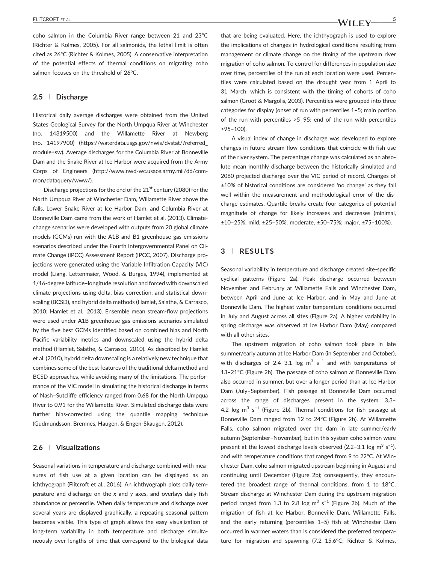coho salmon in the Columbia River range between 21 and 23°C (Richter & Kolmes, 2005). For all salmonids, the lethal limit is often cited as 26°C (Richter & Kolmes, 2005). A conservative interpretation of the potential effects of thermal conditions on migrating coho salmon focuses on the threshold of 26°C.

#### **2.5** | **Discharge**

Historical daily average discharges were obtained from the United States Geological Survey for the North Umpqua River at Winchester (no. 14319500) and the Willamette River at Newberg (no. 14197900) ([https://waterdata.usgs.gov/nwis/dvstat/?referred\\_](https://waterdata.usgs.gov/nwis/dvstat/?referred_module=sw) [module=sw\)](https://waterdata.usgs.gov/nwis/dvstat/?referred_module=sw). Average discharges for the Columbia River at Bonneville Dam and the Snake River at Ice Harbor were acquired from the Army Corps of Engineers (http://www.nwd‐[wc.usace.army.mil/dd/com](http://www.nwd-wc.usace.army.mil/dd/common/dataquery/www/)[mon/dataquery/www/](http://www.nwd-wc.usace.army.mil/dd/common/dataquery/www/)).

Discharge projections for the end of the  $21<sup>st</sup>$  century (2080) for the North Umpqua River at Winchester Dam, Willamette River above the falls, Lower Snake River at Ice Harbor Dam, and Columbia River at Bonneville Dam came from the work of Hamlet et al. (2013). Climate‐ change scenarios were developed with outputs from 20 global climate models (GCMs) run with the A1B and B1 greenhouse gas emissions scenarios described under the Fourth Intergovernmental Panel on Climate Change (IPCC) Assessment Report (IPCC, 2007). Discharge projections were generated using the Variable Infiltration Capacity (VIC) model (Liang, Lettenmaier, Wood, & Burges, 1994), implemented at 1/16‐degree latitude–longitude resolution and forced with downscaled climate projections using delta, bias correction, and statistical downscaling (BCSD), and hybrid delta methods (Hamlet, Salathe, & Carrasco, 2010; Hamlet et al., 2013). Ensemble mean stream‐flow projections were used under A1B greenhouse gas emissions scenarios simulated by the five best GCMs identified based on combined bias and North Pacific variability metrics and downscaled using the hybrid delta method (Hamlet, Salathe, & Carrasco, 2010). As described by Hamlet et al. (2010), hybrid delta downscaling is a relatively new technique that combines some of the best features of the traditional delta method and BCSD approaches, while avoiding many of the limitations. The performance of the VIC model in simulating the historical discharge in terms of Nash–Sutcliffe efficiency ranged from 0.68 for the North Umpqua River to 0.91 for the Willamette River. Simulated discharge data were further bias-corrected using the quantile mapping technique (Gudmundsson, Bremnes, Haugen, & Engen‐Skaugen, 2012).

#### **2.6** | **Visualizations**

Seasonal variations in temperature and discharge combined with measures of fish use at a given location can be displayed as an ichthyograph (Flitcroft et al., 2016). An ichthyograph plots daily temperature and discharge on the *x* and *y* axes, and overlays daily fish abundance or percentile. When daily temperature and discharge over several years are displayed graphically, a repeating seasonal pattern becomes visible. This type of graph allows the easy visualization of long-term variability in both temperature and discharge simultaneously over lengths of time that correspond to the biological data

that are being evaluated. Here, the ichthyograph is used to explore the implications of changes in hydrological conditions resulting from management or climate change on the timing of the upstream river migration of coho salmon. To control for differences in population size over time, percentiles of the run at each location were used. Percentiles were calculated based on the drought year from 1 April to 31 March, which is consistent with the timing of cohorts of coho salmon (Groot & Margolis, 2003). Percentiles were grouped into three categories for display (onset of run with percentiles 1–5; main portion of the run with percentiles >5–95; end of the run with percentiles >95–100).

A visual index of change in discharge was developed to explore changes in future stream‐flow conditions that coincide with fish use of the river system. The percentage change was calculated as an absolute mean monthly discharge between the historically simulated and 2080 projected discharge over the VIC period of record. Changes of ±10% of historical conditions are considered 'no change' as they fall well within the measurement and methodological error of the discharge estimates. Quartile breaks create four categories of potential magnitude of change for likely increases and decreases (minimal, ±10–25%; mild, ±25–50%; moderate, ±50–75%; major, ±75–100%).

#### **3** | **RESULTS**

Seasonal variability in temperature and discharge created site‐specific cyclical patterns (Figure 2a). Peak discharge occurred between November and February at Willamette Falls and Winchester Dam, between April and June at Ice Harbor, and in May and June at Bonneville Dam. The highest water temperature conditions occurred in July and August across all sites (Figure 2a). A higher variability in spring discharge was observed at Ice Harbor Dam (May) compared with all other sites.

The upstream migration of coho salmon took place in late summer/early autumn at Ice Harbor Dam (in September and October), with discharges of 2.4-3.1 log  $m^3$  s<sup>-1</sup> and with temperatures of 13–21°C (Figure 2b). The passage of coho salmon at Bonneville Dam also occurred in summer, but over a longer period than at Ice Harbor Dam (July–September). Fish passage at Bonneville Dam occurred across the range of discharges present in the system: 3.3– 4.2 log m<sup>3</sup> s<sup>-1</sup> (Figure 2b). Thermal conditions for fish passage at Bonneville Dam ranged from 12 to 24°C (Figure 2b). At Willamette Falls, coho salmon migrated over the dam in late summer/early autumn (September–November), but in this system coho salmon were present at the lowest discharge levels observed (2.2-3.1 log  $m^3 s^{-1}$ ), and with temperature conditions that ranged from 9 to 22°C. At Winchester Dam, coho salmon migrated upstream beginning in August and continuing until December (Figure 2b); consequently, they encountered the broadest range of thermal conditions, from 1 to 18°C. Stream discharge at Winchester Dam during the upstream migration period ranged from 1.3 to 2.8 log  $m^3 s^{-1}$  (Figure 2b). Much of the migration of fish at Ice Harbor, Bonneville Dam, Willamette Falls, and the early returning (percentiles 1–5) fish at Winchester Dam occurred in warmer waters than is considered the preferred temperature for migration and spawning (7.2–15.6°C; Richter & Kolmes,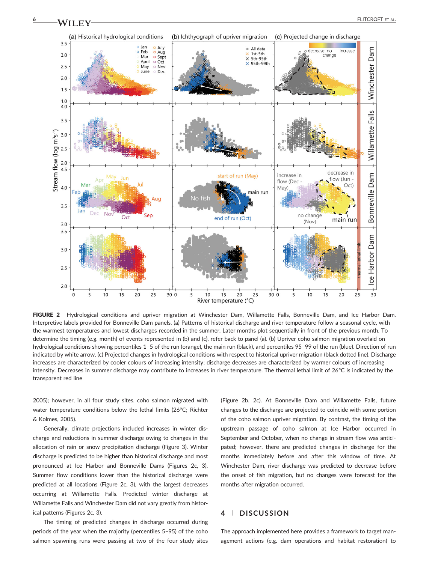

FIGURE 2 Hydrological conditions and upriver migration at Winchester Dam, Willamette Falls, Bonneville Dam, and Ice Harbor Dam. Interpretive labels provided for Bonneville Dam panels. (a) Patterns of historical discharge and river temperature follow a seasonal cycle, with the warmest temperatures and lowest discharges recorded in the summer. Later months plot sequentially in front of the previous month. To determine the timing (e.g. month) of events represented in (b) and (c), refer back to panel (a). (b) Upriver coho salmon migration overlaid on hydrological conditions showing percentiles 1–5 of the run (orange), the main run (black), and percentiles 95–99 of the run (blue). Direction of run indicated by white arrow. (c) Projected changes in hydrological conditions with respect to historical upriver migration (black dotted line). Discharge increases are characterized by cooler colours of increasing intensity; discharge decreases are characterized by warmer colours of increasing intensity. Decreases in summer discharge may contribute to increases in river temperature. The thermal lethal limit of 26°C is indicated by the transparent red line

 $10$ 

15

River temperature (°C)

20

25

30 0

2005); however, in all four study sites, coho salmon migrated with water temperature conditions below the lethal limits (26°C; Richter & Kolmes, 2005).

 $10$ 

 $15$ 

 $20$ 

25

5

 $3.5$ 

 $3.0$ 

 $2.5$ 

 $20$  $1.5$  $1.0$  $4.0$ 

 $3.5$ 

 $3.0$  $2.5$ 

 $2.0$  $4.5$ 

4.0

 $3.5$ 

 $30$  $3.5$ 

 $3.0$ 

 $2.5$ 

 $20$ 

 $\Omega$ 

Stream flow (log m<sup>3</sup>s<sup>-1</sup>)

Generally, climate projections included increases in winter discharge and reductions in summer discharge owing to changes in the allocation of rain or snow precipitation discharge (Figure 3). Winter discharge is predicted to be higher than historical discharge and most pronounced at Ice Harbor and Bonneville Dams (Figures 2c, 3). Summer flow conditions lower than the historical discharge were predicted at all locations (Figure 2c, 3), with the largest decreases occurring at Willamette Falls. Predicted winter discharge at Willamette Falls and Winchester Dam did not vary greatly from historical patterns (Figures 2c, 3).

The timing of predicted changes in discharge occurred during periods of the year when the majority (percentiles 5–95) of the coho salmon spawning runs were passing at two of the four study sites (Figure 2b, 2c). At Bonneville Dam and Willamette Falls, future changes to the discharge are projected to coincide with some portion of the coho salmon upriver migration. By contrast, the timing of the upstream passage of coho salmon at Ice Harbor occurred in September and October, when no change in stream flow was anticipated; however, there are predicted changes in discharge for the months immediately before and after this window of time. At Winchester Dam, river discharge was predicted to decrease before the onset of fish migration, but no changes were forecast for the months after migration occurred.

 $10$ 

 $15$ 

20

 $25$ 

# **4** | **DISCUSSION**

30 0

The approach implemented here provides a framework to target management actions (e.g. dam operations and habitat restoration) to

<u>es</u>

 $30$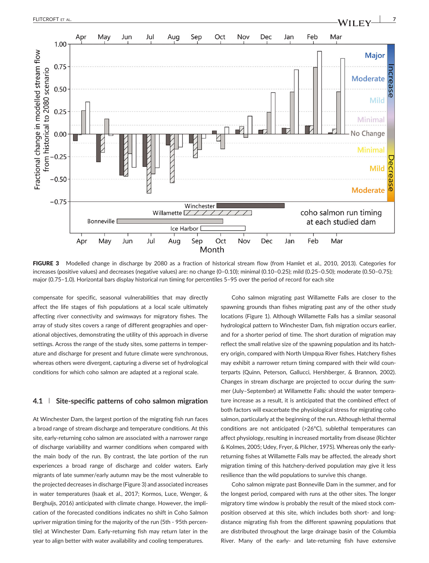

FIGURE 3 Modelled change in discharge by 2080 as a fraction of historical stream flow (from Hamlet et al., 2010, 2013). Categories for increases (positive values) and decreases (negative values) are: no change (0–0.10); minimal (0.10–0.25); mild (0.25–0.50); moderate (0.50–0.75); major (0.75–1.0). Horizontal bars display historical run timing for percentiles 5–95 over the period of record for each site

compensate for specific, seasonal vulnerabilities that may directly affect the life stages of fish populations at a local scale ultimately affecting river connectivity and swimways for migratory fishes. The array of study sites covers a range of different geographies and operational objectives, demonstrating the utility of this approach in diverse settings. Across the range of the study sites, some patterns in temperature and discharge for present and future climate were synchronous, whereas others were divergent, capturing a diverse set of hydrological conditions for which coho salmon are adapted at a regional scale.

#### **4.1** | **Site‐specific patterns of coho salmon migration**

At Winchester Dam, the largest portion of the migrating fish run faces a broad range of stream discharge and temperature conditions. At this site, early-returning coho salmon are associated with a narrower range of discharge variability and warmer conditions when compared with the main body of the run. By contrast, the late portion of the run experiences a broad range of discharge and colder waters. Early migrants of late summer/early autumn may be the most vulnerable to the projected decreases in discharge (Figure 3) and associated increases in water temperatures (Isaak et al., 2017; Kormos, Luce, Wenger, & Berghuijs, 2016) anticipated with climate change. However, the implication of the forecasted conditions indicates no shift in Coho Salmon upriver migration timing for the majority of the run (5th ‐ 95th percentile) at Winchester Dam. Early‐returning fish may return later in the year to align better with water availability and cooling temperatures.

Coho salmon migrating past Willamette Falls are closer to the spawning grounds than fishes migrating past any of the other study locations (Figure 1). Although Willamette Falls has a similar seasonal hydrological pattern to Winchester Dam, fish migration occurs earlier, and for a shorter period of time. The short duration of migration may reflect the small relative size of the spawning population and its hatchery origin, compared with North Umpqua River fishes. Hatchery fishes may exhibit a narrower return timing compared with their wild counterparts (Quinn, Peterson, Gallucci, Hershberger, & Brannon, 2002). Changes in stream discharge are projected to occur during the summer (July–September) at Willamette Falls: should the water temperature increase as a result, it is anticipated that the combined effect of both factors will exacerbate the physiological stress for migrating coho salmon, particularly at the beginning of the run. Although lethal thermal conditions are not anticipated (>26°C), sublethal temperatures can affect physiology, resulting in increased mortality from disease (Richter & Kolmes, 2005; Udey, Fryer, & Pilcher, 1975). Whereas only the early‐ returning fishes at Willamette Falls may be affected, the already short migration timing of this hatchery‐derived population may give it less resilience than the wild populations to survive this change.

Coho salmon migrate past Bonneville Dam in the summer, and for the longest period, compared with runs at the other sites. The longer migratory time window is probably the result of the mixed stock composition observed at this site, which includes both short- and longdistance migrating fish from the different spawning populations that are distributed throughout the large drainage basin of the Columbia River. Many of the early‐ and late‐returning fish have extensive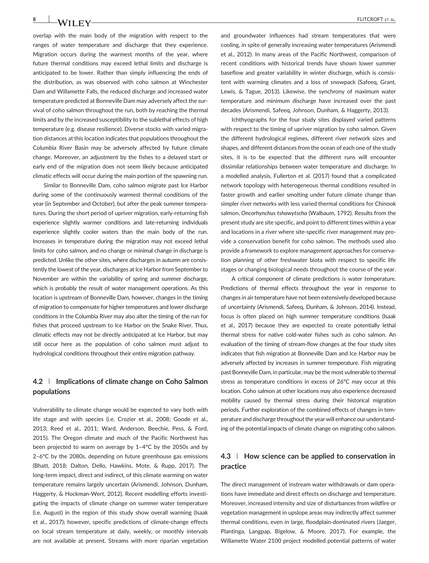overlap with the main body of the migration with respect to the ranges of water temperature and discharge that they experience. Migration occurs during the warmest months of the year, where future thermal conditions may exceed lethal limits and discharge is anticipated to be lower. Rather than simply influencing the ends of the distribution, as was observed with coho salmon at Winchester Dam and Willamette Falls, the reduced discharge and increased water temperature predicted at Bonneville Dam may adversely affect the survival of coho salmon throughout the run, both by reaching the thermal limits and by the increased susceptibility to the sublethal effects of high temperature (e.g. disease resilience). Diverse stocks with varied migration distances at this location indicates that populations throughout the

Columbia River Basin may be adversely affected by future climate change. Moreover, an adjustment by the fishes to a delayed start or early end of the migration does not seem likely because anticipated climatic effects will occur during the main portion of the spawning run. Similar to Bonneville Dam, coho salmon migrate past Ice Harbor

during some of the continuously warmest thermal conditions of the year (in September and October), but after the peak summer temperatures. During the short period of upriver migration, early‐returning fish experience slightly warmer conditions and late-returning individuals experience slightly cooler waters than the main body of the run. Increases in temperature during the migration may not exceed lethal limits for coho salmon, and no change or minimal change in discharge is predicted. Unlike the other sites, where discharges in autumn are consistently the lowest of the year, discharges at Ice Harbor from September to November are within the variability of spring and summer discharge, which is probably the result of water management operations. As this location is upstream of Bonneville Dam, however, changes in the timing of migration to compensate for higher temperatures and lower discharge conditions in the Columbia River may also alter the timing of the run for fishes that proceed upstream to Ice Harbor on the Snake River. Thus, climatic effects may not be directly anticipated at Ice Harbor, but may still occur here as the population of coho salmon must adjust to hydrological conditions throughout their entire migration pathway.

# **4.2** | **Implications of climate change on Coho Salmon populations**

Vulnerability to climate change would be expected to vary both with life stage and with species (i.e. Crozier et al., 2008; Goode et al., 2013; Reed et al., 2011; Ward, Anderson, Beechie, Pess, & Ford, 2015). The Oregon climate and much of the Pacific Northwest has been projected to warm on average by 1–4°C by the 2050s and by 2–6°C by the 2080s, depending on future greenhouse gas emissions (Bhatt, 2018; Dalton, Dello, Hawkins, Mote, & Rupp, 2017). The long‐term impact, direct and indirect, of this climate warming on water temperature remains largely uncertain (Arismendi, Johnson, Dunham, Haggerty, & Hockman‐Wert, 2012). Recent modelling efforts investigating the impacts of climate change on summer water temperature (i.e. August) in the region of this study show overall warming (Isaak et al., 2017); however, specific predictions of climate‐change effects on local stream temperature at daily, weekly, or monthly intervals are not available at present. Streams with more riparian vegetation and groundwater influences had stream temperatures that were cooling, in spite of generally increasing water temperatures (Arismendi et al., 2012). In many areas of the Pacific Northwest, comparison of recent conditions with historical trends have shown lower summer baseflow and greater variability in winter discharge, which is consistent with warming climates and a loss of snowpack (Safeeq, Grant, Lewis, & Tague, 2013). Likewise, the synchrony of maximum water temperature and minimum discharge have increased over the past decades (Arismendi, Safeeq, Johnson, Dunham, & Haggerty, 2013).

Ichthyographs for the four study sites displayed varied patterns with respect to the timing of upriver migration by coho salmon. Given the different hydrological regimes, different river network sizes and shapes, and different distances from the ocean of each one of the study sites, it is to be expected that the different runs will encounter dissimilar relationships between water temperature and discharge. In a modelled analysis, Fullerton et al. (2017) found that a complicated network topology with heterogeneous thermal conditions resulted in faster growth and earlier smolting under future climate change than simpler river networks with less varied thermal conditions for Chinook salmon, *Oncorhynchus tshawytscha* (Walbaum, 1792). Results from the present study are site specific, and point to different times within a year and locations in a river where site‐specific river management may provide a conservation benefit for coho salmon. The methods used also provide a framework to explore management approaches for conservation planning of other freshwater biota with respect to specific life stages or changing biological needs throughout the course of the year.

A critical component of climate predictions is water temperature. Predictions of thermal effects throughout the year in response to changes in air temperature have not been extensively developed because of uncertainty (Arismendi, Safeeq, Dunham, & Johnson, 2014). Instead, focus is often placed on high summer temperature conditions (Isaak et al., 2017) because they are expected to create potentially lethal thermal stress for native cold‐water fishes such as coho salmon. An evaluation of the timing of stream‐flow changes at the four study sites indicates that fish migration at Bonneville Dam and Ice Harbor may be adversely affected by increases in summer temperature. Fish migrating past Bonneville Dam, in particular, may be the most vulnerable to thermal stress as temperature conditions in excess of 26°C may occur at this location. Coho salmon at other locations may also experience decreased mobility caused by thermal stress during their historical migration periods. Further exploration of the combined effects of changes in temperature and discharge throughout the year will enhance our understanding of the potential impacts of climate change on migrating coho salmon.

# **4.3** | **How science can be applied to conservation in practice**

The direct management of instream water withdrawals or dam operations have immediate and direct effects on discharge and temperature. Moreover, increased intensity and size of disturbances from wildfire or vegetation management in upslope areas may indirectly affect summer thermal conditions, even in large, floodplain‐dominated rivers (Jaeger, Plantinga, Langpap, Bigelow, & Moore, 2017). For example, the Willamette Water 2100 project modelled potential patterns of water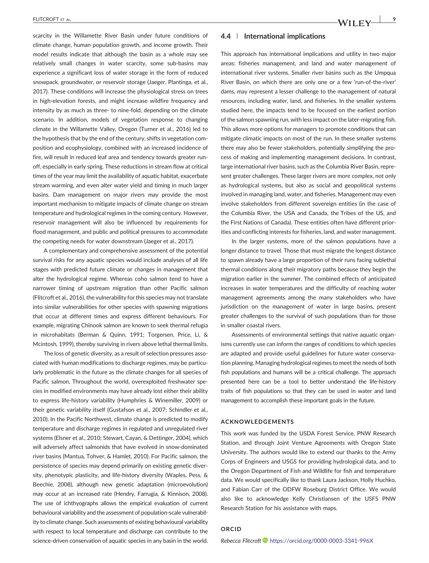scarcity in the Willamette River Basin under future conditions of climate change, human population growth, and income growth. Their model results indicate that although the basin as a whole may see relatively small changes in water scarcity, some sub‐basins may experience a significant loss of water storage in the form of reduced snowpack, groundwater, or reservoir storage (Jaeger, Plantinga, et al., 2017). These conditions will increase the physiological stress on trees in high‐elevation forests, and might increase wildfire frequency and intensity by as much as three‐ to nine‐fold, depending on the climate scenario. In addition, models of vegetation response to changing climate in the Willamette Valley, Oregon (Turner et al., 2016) led to the hypothesis that by the end of the century, shifts in vegetation composition and ecophysiology, combined with an increased incidence of fire, will result in reduced leaf area and tendency towards greater run‐ off, especially in early spring. These reductions in stream flow at critical times of the year may limit the availability of aquatic habitat, exacerbate stream warming, and even alter water yield and timing in much larger basins. Dam management on major rivers may provide the most important mechanism to mitigate impacts of climate change on stream temperature and hydrological regimes in the coming century. However, reservoir management will also be influenced by requirements for flood management, and public and political pressures to accommodate the competing needs for water downstream (Jaeger et al., 2017).

A complementary and comprehensive assessment of the potential survival risks for any aquatic species would include analyses of all life stages with predicted future climate or changes in management that alter the hydrological regime. Whereas coho salmon tend to have a narrower timing of upstream migration than other Pacific salmon (Flitcroft et al., 2016), the vulnerability for this species may not translate into similar vulnerabilities for other species with spawning migrations that occur at different times and express different behaviours. For example, migrating Chinook salmon are known to seek thermal refugia in microhabitats (Berman & Quinn, 1991; Torgersen, Price, Li, & Mcintosh, 1999), thereby surviving in rivers above lethal thermal limits.

The loss of genetic diversity, as a result of selection pressures associated with human modifications to discharge regimes, may be particularly problematic in the future as the climate changes for all species of Pacific salmon. Throughout the world, overexploited freshwater species in modified environments may have already lost either their ability to express life‐history variability (Humphries & Winemiller, 2009) or their genetic variability itself (Gustafson et al., 2007; Schindler et al., 2010). In the Pacific Northwest, climate change is predicted to modify temperature and discharge regimes in regulated and unregulated river systems (Elsner et al., 2010; Stewart, Cayan, & Dettinger, 2004), which will adversely affect salmonids that have evolved in snow-dominated river basins (Mantua, Tohver, & Hamlet, 2010). For Pacific salmon, the persistence of species may depend primarily on existing genetic diversity, phenotypic plasticity, and life‐history diversity (Waples, Pess, & Beechie, 2008), although new genetic adaptation (microevolution) may occur at an increased rate (Hendry, Farrugia, & Kinnison, 2008). The use of ichthyographs allows the empirical evaluation of current behavioural variability and the assessment of population‐scale vulnerability to climate change. Such assessments of existing behavioural variability with respect to local temperature and discharge can contribute to the science-driven conservation of aquatic species in any basin in the world.

# **4.4** | **International implications**

This approach has international implications and utility in two major areas: fisheries management, and land and water management of international river systems. Smaller river basins such as the Umpqua River Basin, on which there are only one or a few 'run‐of‐the‐river' dams, may represent a lesser challenge to the management of natural resources, including water, land, and fisheries. In the smaller systems studied here, the impacts tend to be focused on the earliest portion of the salmon spawning run, with less impact on the later‐migrating fish. This allows more options for managers to promote conditions that can mitigate climatic impacts on most of the run. In these smaller systems there may also be fewer stakeholders, potentially simplifying the process of making and implementing management decisions. In contrast, large international river basins, such as the Columbia River Basin, represent greater challenges. These larger rivers are more complex, not only as hydrological systems, but also as social and geopolitical systems involved in managing land, water, and fisheries. Management may even involve stakeholders from different sovereign entities (in the case of the Columbia River, the USA and Canada, the Tribes of the US, and the First Nations of Canada). These entities often have different priorities and conflicting interests for fisheries, land, and water management.

In the larger systems, more of the salmon populations have a longer distance to travel. Those that must migrate the longest distance to spawn already have a large proportion of their runs facing sublethal thermal conditions along their migratory paths because they begin the migration earlier in the summer. The combined effects of anticipated increases in water temperatures and the difficulty of reaching water management agreements among the many stakeholders who have jurisdiction on the management of water in large basins, present greater challenges to the survival of such populations than for those in smaller coastal rivers.

Assessments of environmental settings that native aquatic organisms currently use can inform the ranges of conditions to which species are adapted and provide useful guidelines for future water conservation planning. Managing hydrological regimes to meet the needs of both fish populations and humans will be a critical challenge. The approach presented here can be a tool to better understand the life‐history traits of fish populations so that they can be used in water and land management to accomplish these important goals in the future.

#### **ACKNOWLEDGEMENTS**

This work was funded by the USDA Forest Service, PNW Research Station, and through Joint Venture Agreements with Oregon State University. The authors would like to extend our thanks to the Army Corps of Engineers and USGS for providing hydrological data, and to the Oregon Department of Fish and Wildlife for fish and temperature data. We would specifically like to thank Laura Jackson, Holly Huchko, and Fabian Carr of the ODFW Roseburg District Office. We would also like to acknowledge Kelly Christiansen of the USFS PNW Research Station for his assistance with maps.

### **ORCID**

*Rebecca Flitcroft* <https://orcid.org/0000-0003-3341-996X>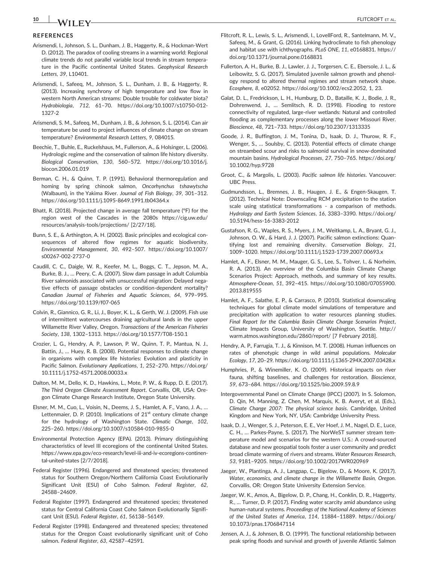# **10** FLITCROFT ET AL.

# **REFERENCES**

- Arismendi, I., Johnson, S. L., Dunham, J. B., Haggerty, R., & Hockman‐Wert D. (2012). The paradox of cooling streams in a warming world: Regional climate trends do not parallel variable local trends in stream temperature in the Pacific continental United States. *Geophysical Research Letters, 39*, L10401.
- Arismendi, I., Safeeq, M., Johnson, S. L., Dunham, J. B., & Haggerty, R. (2013). Increasing synchrony of high temperature and low flow in western North American streams: Double trouble for coldwater biota? *Hydrobiologia*, *712*, 61–70. [https://doi.org/10.1007/s10750](https://doi.org/10.1007/s10750-012-1327-2)‐012‐ [1327](https://doi.org/10.1007/s10750-012-1327-2)‐2
- Arismendi, S. M., Safeeq, M., Dunham, J. B., & Johnson, S. L. (2014). Can air temperature be used to project influences of climate change on stream temperature? *Environmental Research Letters*, *9*, 084015.
- Beechie, T., Buhle, E., Ruckelshaus, M., Fullerson, A., & Holsinger, L. (2006). Hydrologic regime and the conservation of salmon life history diversity. *Biological Conservation*, *130*, 560–572. [https://doi.org/10.1016/j.](https://doi.org/10.1016/j.biocon.2006.01.019) [biocon.2006.01.019](https://doi.org/10.1016/j.biocon.2006.01.019)
- Berman, C. H., & Quinn, T. P. (1991). Behavioral thermoregulation and homing by spring chinook salmon, *Oncorhynchus tshawytscha* (Walbaum), in the Yakima River. *Journal of Fish Biology*, *39*, 301–312. [https://doi.org/10.1111/j.1095](https://doi.org/10.1111/j.1095-8649.1991.tb04364.x)‐8649.1991.tb04364.x
- Bhatt, R. (2018). Projected change in average fall temperature (°F) for the region west of the Cascades in the 2080s [https://cig.uw.edu/](https://cig.uw.edu/resources/analysis-tools/projections/) [resources/analysis](https://cig.uw.edu/resources/analysis-tools/projections/)‐tools/projections/ [2/27/18].
- Bunn, S. E., & Arthington, A. H. (2002). Basic principles and ecological consequences of altered flow regimes for aquatic biodiversity. *Environmental Management*, *30*, 492–507. [https://doi.org/10.1007/](https://doi.org/10.1007/s00267-002-2737-0) [s00267](https://doi.org/10.1007/s00267-002-2737-0)‐002‐2737‐0
- Caudill, C. C., Daigle, W. R., Keefer, M. L., Boggs, C. T., Jepson, M. A., Burke, B. J., … Peery, C. A. (2007). Slow dam passage in adult Columbia River salmonids associated with unsuccessful migration: Delayed negative effects of passage obstacles or condition‐dependent mortality? *Canadian Journal of Fisheries and Aquatic Sciences*, *64*, 979–995. [https://doi.org/10.1139/f07](https://doi.org/10.1139/f07-065)‐065
- Colvin, R., Giannico, G. R., Li, J., Boyer, K. L., & Gerth, W. J. (2009). Fish use of intermittent watercourses draining agricultural lands in the upper Willamette River Valley, Oregon. *Transactions of the American Fisheries Society*, *138*, 1302–1313. [https://doi.org/10.1577/T08](https://doi.org/10.1577/T08-150.1)‐150.1
- Crozier, L. G., Hendry, A. P., Lawson, P. W., Quinn, T. P., Mantua, N. J., Battin, J., … Huey, R. B. (2008). Potential responses to climate change in organisms with complex life histories: Evolution and plasticity in Pacific Salmon. *Evolutionary Applications*, *1*, 252–270. [https://doi.org/](https://doi.org/10.1111/j.1752-4571.2008.00033.x) 10.1111/j.1752‐[4571.2008.00033.x](https://doi.org/10.1111/j.1752-4571.2008.00033.x)
- Dalton, M. M., Dello, K. D., Hawkins, L., Mote, P. W., & Rupp, D. E. (2017). *The Third Oregon Climate Assessment Report*. Corvallis, OR, USA: Oregon Climate Change Research Institute, Oregon State University.
- Elsner, M. M., Cuo, L., Voisin, N., Deems, J. S., Hamlet, A. F., Vano, J. A., … Lettenmaier, D. P. (2010). Implications of  $21<sup>st</sup>$  century climate change for the hydrology of Washington State. *Climatic Change*, *102*, 225–260. [https://doi.org/10.1007/s10584](https://doi.org/10.1007/s10584-010-9855-0)‐010‐9855‐0
- Environmental Protection Agency (EPA). (2013). Primary distinguishing characteristics of level III ecoregions of the continental United States. [https://www.epa.gov/eco](https://www.epa.gov/eco-research/level-iii-and-iv-ecoregions-continental-united-states)‐research/level‐iii‐and‐iv‐ecoregions‐continental‐[united](https://www.epa.gov/eco-research/level-iii-and-iv-ecoregions-continental-united-states)‐states [2/7/2018].
- Federal Register (1996). Endangered and threatened species; threatened status for Southern Oregon/Northern California Coast Evolutionarily Significant Unit (ESU) of Coho Salmon. *Federal Register*, *62*, 24588–24609.
- Federal Register (1997). Endangered and threatened species; threatened status for Central California Coast Coho Salmon Evolutionarily Significant Unit (ESU). *Federal Register*, *61*, 56138–56149.
- Federal Register (1998). Endangered and threatened species; threatened status for the Oregon Coast evolutionarily significant unit of Coho salmon. *Federal Register*, *63*, 42587–42591.
- Flitcroft, R. L., Lewis, S. L., Arismendi, I., LovellFord, R., Santelmann, M. V., Safeeq, M., & Grant, G. (2016). Linking hydroclimate to fish phenology and habitat use with ichthyographs. *PLoS ONE*, *11*, e0168831. [https://](https://doi.org/10.1371/journal.pone.0168831) [doi.org/10.1371/journal.pone.0168831](https://doi.org/10.1371/journal.pone.0168831)
- Fullerton, A. H., Burke, B. J., Lawler, J. J., Torgersen, C. E., Ebersole, J. L., & Leibowitz, S. G. (2017). Simulated juvenile salmon growth and phenology respond to altered thermal regimes and stream network shape. *Ecosphere, 8*, e02052.<https://doi.org/10.1002/ecs2.2052>, 1, 23.
- Galat, D. L., Fredrickson, L. H., Humburg, D. D., Bataille, K. J., Bodie, J. R., Dohrenwend, J., … Semlitsch, R. D. (1998). Flooding to restore connectivity of regulated, large‐river wetlands: Natural and controlled flooding as complementary processes along the lower Missouri River. *Bioscience*, *48*, 721–733.<https://doi.org/10.2307/1313335>
- Goode, J. R., Buffington, J. M., Tonina, D., Isaak, D. J., Thurow, R. F., Wenger, S., … Soulsby, C. (2013). Potential effects of climate change on streambed scour and risks to salmonid survival in snow‐dominated mountain basins. *Hydrological Processes*, *27*, 750–765. [https://doi.org/](https://doi.org/10.1002/hyp.9728) [10.1002/hyp.9728](https://doi.org/10.1002/hyp.9728)
- Groot, C., & Margolis, L. (2003). *Pacific salmon life histories*. Vancouver: UBC Press.
- Gudmundsson, L., Bremnes, J. B., Haugen, J. E., & Engen‐Skaugen, T. (2012). Technical Note: Downscaling RCM precipitation to the station scale using statistical transformations ‐ a comparison of methods. *Hydrology and Earth System Sciences*, *16*, 3383–3390. [https://doi.org/](https://doi.org/10.5194/hess-16-3383-2012) [10.5194/hess](https://doi.org/10.5194/hess-16-3383-2012)‐16‐3383‐2012
- Gustafson, R. G., Waples, R. S., Myers, J. M., Weitkamp, L. A., Bryant, G. J., Johnson, O. W., & Hard, J. J. (2007). Pacific salmon extinctions: Quantifying lost and remaining diversity. *Conservation Biology*, *21*, 1009–1020. [https://doi.org/10.1111/j.1523](https://doi.org/10.1111/j.1523-1739.2007.00693.x)‐1739.2007.00693.x
- Hamlet, A. F., Elsner, M. M., Mauger, G. S., Lee, S., Tohver, I., & Norheim, R. A. (2013). An overview of the Columbia Basin Climate Change Scenarios Project: Approach, methods, and summary of key results. *Atmosphere‐Ocean*, *51*, 392–415. [https://doi.org/10.1080/07055900.](https://doi.org/10.1080/07055900.2013.819555) [2013.819555](https://doi.org/10.1080/07055900.2013.819555)
- Hamlet, A. F., Salathe, E. P., & Carrasco, P. (2010). Statistical downscaling techniques for global climate model simulations of temperature and precipitation with application to water resources planning studies. *Final Report for the Columbia Basin Climate Change Scenarios Project*, Climate Impacts Group, University of Washington, Seattle. [http://](http://warm.atmos.washington.edu/2860/report/) [warm.atmos.washington.edu/2860/report/](http://warm.atmos.washington.edu/2860/report/) [7 February 2018].
- Hendry, A. P., Farrugia, T. J., & Kinnison, M. T. (2008). Human influences on rates of phenotypic change in wild animal populations. *Molecular Ecology*, *17*, 20–29. [https://doi.org/10.1111/j.1365](https://doi.org/10.1111/j.1365-294X.2007.03428.x)‐294X.2007.03428.x
- Humphries, P., & Winemiller, K. O. (2009). Historical impacts on river fauna, shifting baselines, and challenges for restoration. *Bioscience*, *59*, 673–684.<https://doi.org/10.1525/bio.2009.59.8.9>
- Intergovernmental Panel on Climate Change (IPCC) (2007). In S. Solomon, D. Qin, M. Manning, Z. Chen, M. Marquis, K. B. Averyt, et al. (Eds.), *Climate Change 2007: The physical science basis*. Cambridge, United Kingdom and New York, NY, USA: Cambridge University Press.
- Isaak, D. J., Wenger, S. J., Peterson, E. E., Ver Hoef, J. M., Nagel, D. E., Luce, C. H., … Parkes‐Payne, S. (2017). The NorWeST summer stream temperature model and scenarios for the western U.S.: A crowd‐sourced database and new geospatial tools foster a user community and predict broad climate warming of rivers and streams. *Water Resources Research*, *53*, 9181–9205.<https://doi.org/10.1002/2017WR020969>
- Jaeger, W., Plantinga, A. J., Langpap, C., Bigelow, D., & Moore, K. (2017). *Water, economics, and climate change in the Willamette Basin, Oregon*. Corvallis, OR: Oregon State University Extension Service.
- Jaeger, W. K., Amos, A., Bigelow, D. P., Chang, H., Conklin, D. R., Haggerty, R., … Turner, D. P. (2017). Finding water scarcity amid abundance using human‐natural systems. *Proceedings of the National Academy of Sciences of the United States of America*, *114*, 11884–11889. [https://doi.org/](https://doi.org/10.1073/pnas.1706847114) [10.1073/pnas.1706847114](https://doi.org/10.1073/pnas.1706847114)
- Jensen, A. J., & Johnsen, B. O. (1999). The functional relationship between peak spring floods and survival and growth of juvenile Atlantic Salmon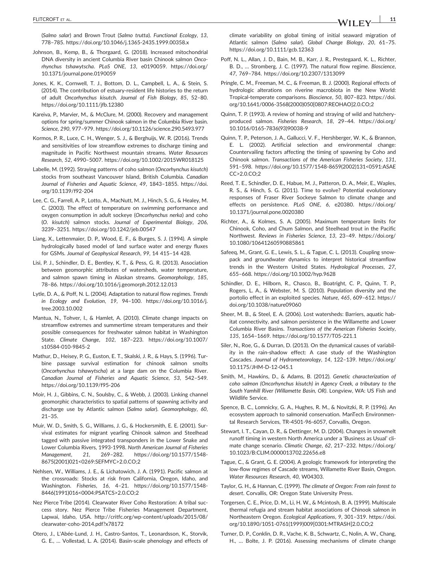(*Salmo salar*) and Brown Trout (*Salmo trutta*). *Functional Ecology*, *13*, 778–785. [https://doi.org/10.1046/j.1365](https://doi.org/10.1046/j.1365-2435.1999.00358.x)‐2435.1999.00358.x

- Johnson, B., Kemp, B., & Thorgaard, G. (2018). Increased mitochondrial DNA diversity in ancient Columbia River basin Chinook salmon *Oncorhynchus tshawytscha*. *PLoS ONE*, *13*, e0190059. [https://doi.org/](https://doi.org/10.1371/journal.pone.0190059) [10.1371/journal.pone.0190059](https://doi.org/10.1371/journal.pone.0190059)
- Jones, K. K., Cornwell, T. J., Bottom, D. L., Campbell, L. A., & Stein, S. (2014). The contribution of estuary‐resident life histories to the return of adult *Oncorhynchus kisutch*. *Journal of Fish Biology*, *85*, 52–80. <https://doi.org/10.1111/jfb.12380>
- Kareiva, P., Marvier, M., & McClure, M. (2000). Recovery and management options for spring/summer Chinook salmon in the Columbia River basin. *Science*, *290*, 977–979.<https://doi.org/10.1126/science.290.5493.977>
- Kormos, P. R., Luce, C. H., Wenger, S. J., & Berghuijs, W. R. (2016). Trends and sensitivities of low streamflow extremes to discharge timing and magnitude in Pacific Northwest mountain streams. *Water Resources Research*, *52*, 4990–5007.<https://doi.org/10.1002/2015WR018125>
- Labelle, M. (1992). Straying patterns of coho salmon (*Oncorhynchus kisutch*) stocks from southeast Vancouver Island, British Columbia. *Canadian Journal of Fisheries and Aquatic Science*, *49*, 1843–1855. [https://doi.](https://doi.org/10.1139/f92-204) [org/10.1139/f92](https://doi.org/10.1139/f92-204)‐204
- Lee, C. G., Farrell, A. P., Lotto, A., MacNutt, M. J., Hinch, S. G., & Healey, M. C. (2003). The effect of temperature on swimming performance and oxygen consumption in adult sockeye (*Oncorhynchus nerka*) and coho (*O. kisutch*) salmon stocks. *Journal of Experimental Biology*, *206*, 3239–3251.<https://doi.org/10.1242/jeb.00547>
- Liang, X., Lettenmaier, D. P., Wood, E. F., & Burges, S. J. (1994). A simple hydrologically based model of land surface water and energy fluxes for GSMs. *Journal of Geophysical Research*, *99*, 14 415–14 428.
- Lisi, P. J., Schindler, D. E., Bentley, K. T., & Pess, G. R. (2013). Association between geomorphic attributes of watersheds, water temperature, and salmon spawn timing in Alaskan streams. *Geomorphology*, *185*, 78–86.<https://doi.org/10.1016/j.geomorph.2012.12.013>
- Lytle, D. A., & Poff, N. L. (2004). Adaptation to natural flow regimes. *Trends in Ecology and Evolution*, *19*, 94–100. [https://doi.org/10.1016/j.](https://doi.org/10.1016/j.tree.2003.10.002) [tree.2003.10.002](https://doi.org/10.1016/j.tree.2003.10.002)
- Mantua, N., Tohver, I., & Hamlet, A. (2010). Climate change impacts on streamflow extremes and summertime stream temperatures and their possible consequences for freshwater salmon habitat in Washington State. *Climate Change*, *102*, 187–223. [https://doi.org/10.1007/](https://doi.org/10.1007/s10584-010-9845-2) [s10584](https://doi.org/10.1007/s10584-010-9845-2)‐010‐9845‐2
- Mathur, D., Heisey, P. G., Euston, E. T., Skalski, J. R., & Hays, S. (1996). Turbine passage survival estimation for chinook salmon smolts (*Oncorhynchus tshawytscha*) at a large dam on the Columbia River. *Canadian Journal of Fisheries and Aquatic Science*, *53*, 542–549. [https://doi.org/10.1139/f95](https://doi.org/10.1139/f95-206)‐206
- Moir, H. J., Gibbins, C. N., Soulsby, C., & Webb, J. (2003). Linking channel geomorphic characteristics to spatial patterns of spawning activity and discharge use by Atlantic salmon (*Salmo salar*). *Geomorphology*, *60*, 21–35.
- Muir, W. D., Smith, S. G., Williams, J. G., & Hockersmith, E. E. (2001). Survival estimates for migrant yearling Chinook salmon and Steelhead tagged with passive integrated transponders in the Lower Snake and Lower Columbia Rivers, 1993‐1998. *North American Journal of Fisheries Management*, *21*, 269–282. [https://doi.org/10.1577/1548](https://doi.org/10.1577/1548-8675(2001)021%3c0269:SEFMYC%3e2.0.CO;2)‐ [8675\(2001\)021<0269:SEFMYC>2.0.CO;2](https://doi.org/10.1577/1548-8675(2001)021%3c0269:SEFMYC%3e2.0.CO;2)
- Nehlsen, W., Williams, J. E., & Lichatowich, J. A. (1991). Pacific salmon at the crossroads: Stocks at risk from California, Oregon, Idaho, and Washington. *Fisheries*, *16*, 4–21. [https://doi.org/10.1577/1548](https://doi.org/10.1577/1548-8446(1991)016%3c0004:PSATCS%3e2.0.CO;2)‐ [8446\(1991\)016<0004:PSATCS>2.0.CO;2](https://doi.org/10.1577/1548-8446(1991)016%3c0004:PSATCS%3e2.0.CO;2)
- Nez Pierce Tribe (2014). Clearwater River Coho Restoration: A tribal success story. Nez Pierce Tribe Fisheries Management Department, Lapwai, Idaho, USA. http://critfc.org/wp-[content/uploads/2015/08/](http://critfc.org/wp-content/uploads/2015/08/clearwater-coho-2014.pdf?x78172) clearwater‐coho‐[2014.pdf?x78172](http://critfc.org/wp-content/uploads/2015/08/clearwater-coho-2014.pdf?x78172)
- Otero, J., L'Abée‐Lund, J. H., Castro‐Santos, T., Leonardsson, K., Storvik, G. E., … Vollestad, L. A. (2014). Basin‐scale phenology and effects of

climate variability on global timing of initial seaward migration of Atlantic salmon (*Salmo salar*). *Global Change Biology*, *20*, 61–75. <https://doi.org/10.1111/gcb.12363>

- Poff, N. L., Allan, J. D., Bain, M. B., Karr, J. R., Prestegaard, K. L., Richter, B. D., … Stromberg, J. C. (1997). The natural flow regime. *Bioscience*, *47*, 769–784.<https://doi.org/10.2307/1313099>
- Pringle, C. M., Freeman, M. C., & Freeman, B. J. (2000). Regional effects of hydrologic alterations on riverine macrobiota in the New World: Tropical‐temperate comparisons. *Bioscience*, *50*, 807–823. [https://doi.](https://doi.org/10.1641/0006-3568(2000)050%5b0807:REOHAO%5d2.0.CO;2) org/10.1641/0006‐[3568\(2000\)050\[0807:REOHAO\]2.0.CO;2](https://doi.org/10.1641/0006-3568(2000)050%5b0807:REOHAO%5d2.0.CO;2)
- Quinn, T. P. (1993). A review of homing and straying of wild and hatchery‐ produced salmon. *Fisheries Research*, *18*, 29–44. [https://doi.org/](https://doi.org/10.1016/0165-7836(93)90038-9) 10.1016/0165‐[7836\(93\)90038](https://doi.org/10.1016/0165-7836(93)90038-9)‐9
- Quinn, T. P., Peterson, J. A., Gallucci, V. F., Hershberger, W. K., & Brannon, E. L. (2002). Artificial selection and environmental change: Countervailing factors affecting the timing of spawning by Coho and Chinook salmon. *Transactions of the American Fisheries Society*, *131*, 591–598. [https://doi.org/10.1577/1548](https://doi.org/10.1577/1548-8659(2002)131%3c0591:ASAECC%3e2.0.CO;2)‐8659(2002)131<0591:ASAE [CC>2.0.CO;2](https://doi.org/10.1577/1548-8659(2002)131%3c0591:ASAECC%3e2.0.CO;2)
- Reed, T. E., Schindler, D. E., Habue, M. J., Patteron, D. A., Meir, E., Waples, R. S., & Hinch, S. G. (2011). Time to evolve? Potential evolutionary responses of Fraser River Sockeye Salmon to climate change and effects on persistence. *PLoS ONE*, *6*, e20380. [https://doi.org/](https://doi.org/10.1371/journal.pone.0020380) [10.1371/journal.pone.0020380](https://doi.org/10.1371/journal.pone.0020380)
- Richter, A., & Kolmes, S. A. (2005). Maximum temperature limits for Chinook, Coho, and Chum Salmon, and Steelhead trout in the Pacific Northwest. *Reviews in Fisheries Science*, *13*, 23–49. [https://doi.org/](https://doi.org/10.1080/10641260590885861) [10.1080/10641260590885861](https://doi.org/10.1080/10641260590885861)
- Safeeq, M., Grant, G. E., Lewis, S. L., & Tague, C. L. (2013). Coupling snowpack and groundwater dynamics to interpret historical streamflow trends in the Western United States. *Hydrological Processes*, *27*, 655–668.<https://doi.org/10.1002/hyp.9628>
- Schindler, D. E., Hilborn, R., Chasco, B., Boatright, C. P., Quinn, T. P., Rogers, L. A., & Webster, M. S. (2010). Population diversity and the portolio effect in an exploited species. *Nature*, *465*, 609–612. [https://](https://doi.org/10.1038/nature09060) [doi.org/10.1038/nature09060](https://doi.org/10.1038/nature09060)
- Sheer, M. B., & Steel, E. A. (2006). Lost watersheds: Barriers, aquatic habitat connectivity, and salmon persistence in the Willamette and Lower Columbia River Basins. *Transactions of the American Fisheries Society*, *135*, 1654–1669. [https://doi.org/10.1577/T05](https://doi.org/10.1577/T05-221.1)‐221.1
- Siler, N., Roe, G., & Durran, D. (2013). On the dynamical causes of variability in the rain‐shadow effect: A case study of the Washington Cascades. *Journal of Hydrometeorology*, *14*, 122–139. [https://doi.org/](https://doi.org/10.1175/JHM-D-12-045.1) [10.1175/JHM](https://doi.org/10.1175/JHM-D-12-045.1)‐D‐12‐045.1
- Smith, M., Hawkins, D., & Adams, B. (2012). *Genetic characterization of coho salmon (Oncorhynchus kisutch) in Agency Creek, a tributary to the South Yamhill River (Willamette Basin, OR)*. Longview, WA: US Fish and Wildlife Service.
- Spence, B. C., Lomnicky, G. A., Hughes, R. M., & Novitzki, R. P. (1996). An ecosystem approach to salmonid conservation. ManTech Environmental Research Services, TR‐4501‐96‐6057, Corvallis, Oregon.
- Stewart, I. T., Cayan, D. R., & Dettinger, M. D. (2004). Changes in snowmelt runoff timing in western North America under a 'Business as Usual' climate change scenario. *Climatic Change*, *62*, 217–232. [https://doi.org/](https://doi.org/10.1023/B:CLIM.0000013702.22656.e8) [10.1023/B:CLIM.0000013702.22656.e8](https://doi.org/10.1023/B:CLIM.0000013702.22656.e8)
- Tague, C., & Grant, G. E. (2004). A geologic framework for interpreting the low‐flow regimes of Cascade streams, Willamette River Basin, Oregon. *Water Resources Research*, *40*, W04303.
- Taylor, G. H., & Hannan, C. (1999). *The climate of Oregon: From rain forest to desert*. Corvallis, OR: Oregon State University Press.
- Torgersen, C. E., Price, D. M., Li, H. W., & Mcintosh, B. A. (1999). Multiscale thermal refugia and stream habitat associations of Chinook salmon in Northeastern Oregon. *Ecological Applications*, *9*, 301–319. [https://doi.](https://doi.org/10.1890/1051-0761(1999)009%5b0301:MTRASH%5d2.0.CO;2) org/10.1890/1051‐[0761\(1999\)009\[0301:MTRASH\]2.0.CO;2](https://doi.org/10.1890/1051-0761(1999)009%5b0301:MTRASH%5d2.0.CO;2)
- Turner, D. P., Conklin, D. R., Vache, K. B., Schwartz, C., Nolin, A. W., Chang, H., … Bolte, J. P. (2016). Assessing mechanisms of climate change